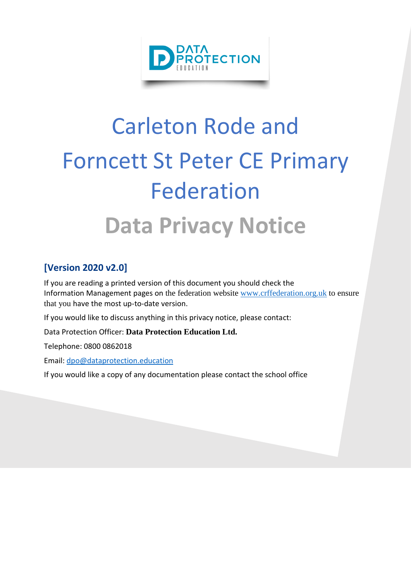

# Carleton Rode and Forncett St Peter CE Primary Federation **Data Privacy Notice**

### **[Version 2020 v2.0]**

If you are reading a printed version of this document you should check the Information Management pages on the federation website [www.crffederation.org.uk](http://www.crffederation.org.uk/) to ensure that you have the most up-to-date version.

If you would like to discuss anything in this privacy notice, please contact:

Data Protection Officer: **Data Protection Education Ltd.**

Telephone: 0800 0862018

Email: [dpo@dataprotection.education](mailto:dpo@dataprotection.education)

If you would like a copy of any documentation please contact the school office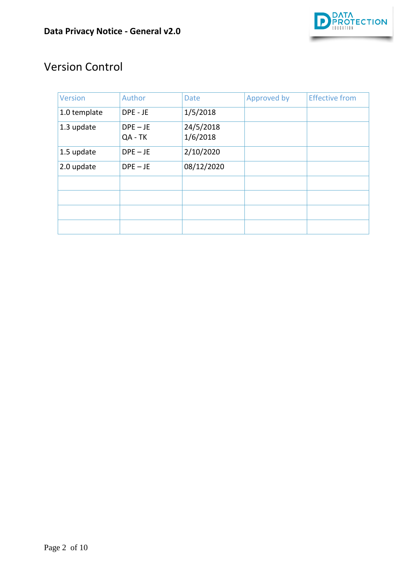

# Version Control

| <b>Version</b> | Author                | <b>Date</b>           | Approved by | <b>Effective from</b> |
|----------------|-----------------------|-----------------------|-------------|-----------------------|
| 1.0 template   | DPE - JE              | 1/5/2018              |             |                       |
| 1.3 update     | $DPE - JE$<br>QA - TK | 24/5/2018<br>1/6/2018 |             |                       |
| 1.5 update     | $DPE - JE$            | 2/10/2020             |             |                       |
| 2.0 update     | $DPE - JE$            | 08/12/2020            |             |                       |
|                |                       |                       |             |                       |
|                |                       |                       |             |                       |
|                |                       |                       |             |                       |
|                |                       |                       |             |                       |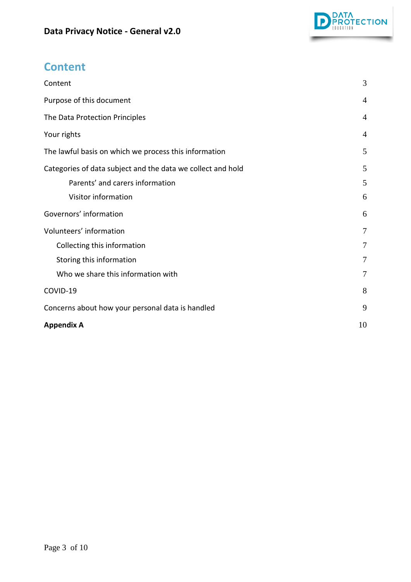

# <span id="page-2-0"></span>**Content**

| Content                                                     | 3              |
|-------------------------------------------------------------|----------------|
| Purpose of this document                                    | $\overline{4}$ |
| The Data Protection Principles                              | $\overline{4}$ |
| Your rights                                                 | $\overline{4}$ |
| The lawful basis on which we process this information       | 5              |
| Categories of data subject and the data we collect and hold | 5              |
| Parents' and carers information                             | 5              |
| Visitor information                                         | 6              |
| Governors' information                                      | 6              |
| Volunteers' information                                     | 7              |
| Collecting this information                                 | 7              |
| Storing this information                                    | 7              |
| Who we share this information with                          | $\overline{7}$ |
| COVID-19                                                    | 8              |
| Concerns about how your personal data is handled            | 9              |
| <b>Appendix A</b>                                           | 10             |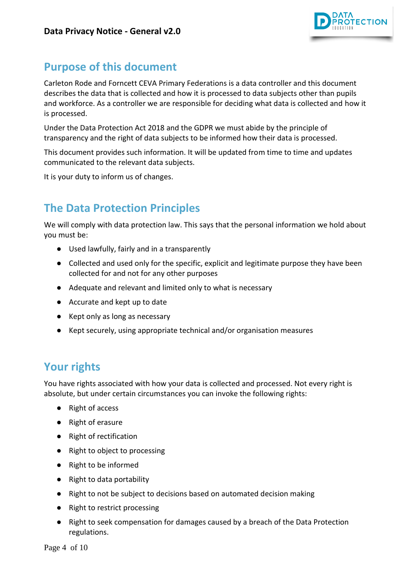

## <span id="page-3-0"></span>**Purpose of this document**

Carleton Rode and Forncett CEVA Primary Federations is a data controller and this document describes the data that is collected and how it is processed to data subjects other than pupils and workforce. As a controller we are responsible for deciding what data is collected and how it is processed.

Under the Data Protection Act 2018 and the GDPR we must abide by the principle of transparency and the right of data subjects to be informed how their data is processed.

This document provides such information. It will be updated from time to time and updates communicated to the relevant data subjects.

It is your duty to inform us of changes.

# <span id="page-3-1"></span>**The Data Protection Principles**

We will comply with data protection law. This says that the personal information we hold about you must be:

- Used lawfully, fairly and in a transparently
- Collected and used only for the specific, explicit and legitimate purpose they have been collected for and not for any other purposes
- Adequate and relevant and limited only to what is necessary
- Accurate and kept up to date
- Kept only as long as necessary
- Kept securely, using appropriate technical and/or organisation measures

## <span id="page-3-2"></span>**Your rights**

You have rights associated with how your data is collected and processed. Not every right is absolute, but under certain circumstances you can invoke the following rights:

- Right of access
- Right of erasure
- Right of rectification
- Right to object to processing
- Right to be informed
- Right to data portability
- Right to not be subject to decisions based on automated decision making
- Right to restrict processing
- Right to seek compensation for damages caused by a breach of the Data Protection regulations.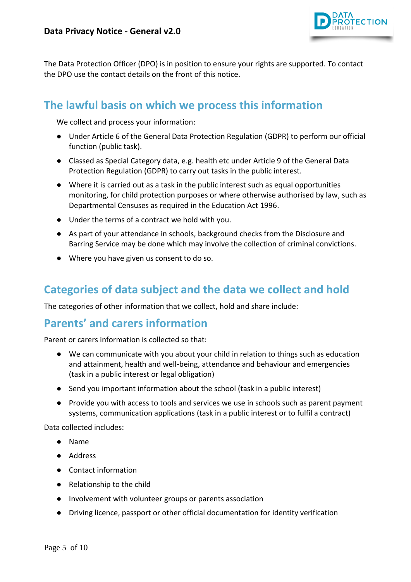

The Data Protection Officer (DPO) is in position to ensure your rights are supported. To contact the DPO use the contact details on the front of this notice.

## <span id="page-4-0"></span>**The lawful basis on which we process this information**

We collect and process your information:

- Under Article 6 of the General Data Protection Regulation (GDPR) to perform our official function (public task).
- Classed as Special Category data, e.g. health etc under Article 9 of the General Data Protection Regulation (GDPR) to carry out tasks in the public interest.
- Where it is carried out as a task in the public interest such as equal opportunities monitoring, for child protection purposes or where otherwise authorised by law, such as Departmental Censuses as required in the Education Act 1996.
- Under the terms of a contract we hold with you.
- As part of your attendance in schools, background checks from the Disclosure and Barring Service may be done which may involve the collection of criminal convictions.
- Where you have given us consent to do so.

## <span id="page-4-1"></span>**Categories of data subject and the data we collect and hold**

The categories of other information that we collect, hold and share include:

#### <span id="page-4-2"></span>**Parents' and carers information**

Parent or carers information is collected so that:

- We can communicate with you about your child in relation to things such as education and attainment, health and well-being, attendance and behaviour and emergencies (task in a public interest or legal obligation)
- Send you important information about the school (task in a public interest)
- Provide you with access to tools and services we use in schools such as parent payment systems, communication applications (task in a public interest or to fulfil a contract)

Data collected includes:

- Name
- Address
- Contact information
- Relationship to the child
- Involvement with volunteer groups or parents association
- Driving licence, passport or other official documentation for identity verification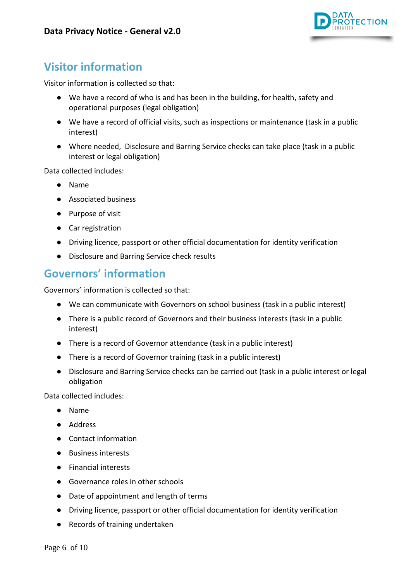

# <span id="page-5-0"></span>**Visitor information**

Visitor information is collected so that:

- We have a record of who is and has been in the building, for health, safety and operational purposes (legal obligation)
- We have a record of official visits, such as inspections or maintenance (task in a public interest)
- Where needed, Disclosure and Barring Service checks can take place (task in a public interest or legal obligation)

Data collected includes:

- Name
- Associated business
- Purpose of visit
- Car registration
- Driving licence, passport or other official documentation for identity verification
- Disclosure and Barring Service check results

## <span id="page-5-1"></span>**Governors' information**

Governors' information is collected so that:

- We can communicate with Governors on school business (task in a public interest)
- There is a public record of Governors and their business interests (task in a public interest)
- There is a record of Governor attendance (task in a public interest)
- There is a record of Governor training (task in a public interest)
- Disclosure and Barring Service checks can be carried out (task in a public interest or legal obligation

Data collected includes:

- Name
- Address
- Contact information
- Business interests
- Financial interests
- Governance roles in other schools
- Date of appointment and length of terms
- Driving licence, passport or other official documentation for identity verification
- Records of training undertaken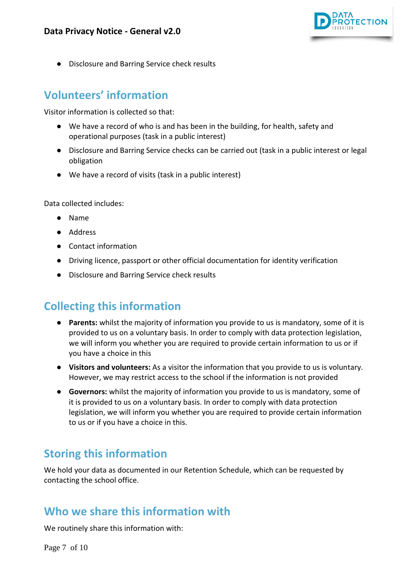

**Disclosure and Barring Service check results** 

## <span id="page-6-0"></span>**Volunteers' information**

Visitor information is collected so that:

- We have a record of who is and has been in the building, for health, safety and operational purposes (task in a public interest)
- Disclosure and Barring Service checks can be carried out (task in a public interest or legal obligation
- We have a record of visits (task in a public interest)

Data collected includes:

- Name
- Address
- Contact information
- Driving licence, passport or other official documentation for identity verification
- Disclosure and Barring Service check results

#### <span id="page-6-1"></span>**Collecting this information**

- **Parents:** whilst the majority of information you provide to us is mandatory, some of it is provided to us on a voluntary basis. In order to comply with data protection legislation, we will inform you whether you are required to provide certain information to us or if you have a choice in this
- **Visitors and volunteers:** As a visitor the information that you provide to us is voluntary. However, we may restrict access to the school if the information is not provided
- **Governors:** whilst the majority of information you provide to us is mandatory, some of it is provided to us on a voluntary basis. In order to comply with data protection legislation, we will inform you whether you are required to provide certain information to us or if you have a choice in this.

#### <span id="page-6-2"></span>**Storing this information**

We hold your data as documented in our Retention Schedule, which can be requested by contacting the school office.

#### <span id="page-6-3"></span>**Who we share this information with**

We routinely share this information with: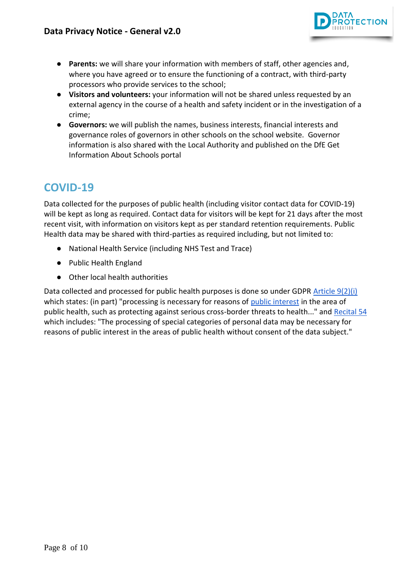

- **Parents:** we will share your information with members of staff, other agencies and, where you have agreed or to ensure the functioning of a contract, with third-party processors who provide services to the school;
- **Visitors and volunteers:** your information will not be shared unless requested by an external agency in the course of a health and safety incident or in the investigation of a crime;
- **Governors:** we will publish the names, business interests, financial interests and governance roles of governors in other schools on the school website. Governor information is also shared with the Local Authority and published on the DfE Get Information About Schools portal

## <span id="page-7-0"></span>**COVID-19**

Data collected for the purposes of public health (including visitor contact data for COVID-19) will be kept as long as required. Contact data for visitors will be kept for 21 days after the most recent visit, with information on visitors kept as per standard retention requirements. Public Health data may be shared with third-parties as required including, but not limited to:

- National Health Service (including NHS Test and Trace)
- Public Health England
- Other local health authorities

Data collected and processed for public health purposes is done so under GDPR [Article 9\(2\)\(i\)](https://gdpr-info.eu/art-9-gdpr/) which states: (in part) "processing is necessary for reasons of [public interest](https://kb.dataprotection.education/component/seoglossary/1-data-protection-definitions/public-interest) in the area of public health, such as protecting against serious cross-border threats to health..." and [Recital 54](https://gdpr-info.eu/recitals/no-54/) which includes: "The processing of special categories of personal data may be necessary for reasons of public interest in the areas of public health without consent of the data subject."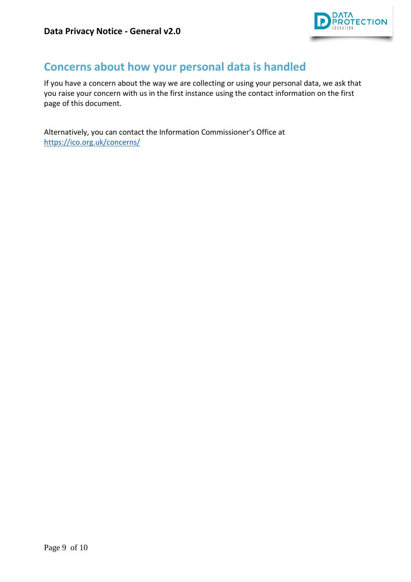

## <span id="page-8-0"></span>**Concerns about how your personal data is handled**

If you have a concern about the way we are collecting or using your personal data, we ask that you raise your concern with us in the first instance using the contact information on the first page of this document.

Alternatively, you can contact the Information Commissioner's Office at <https://ico.org.uk/concerns/>